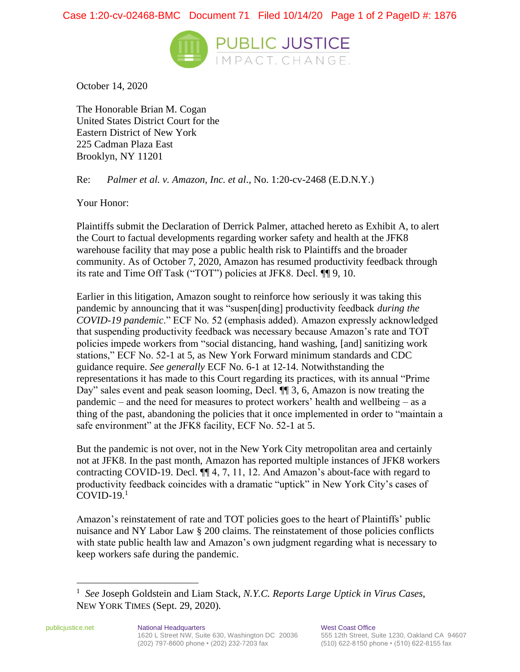

October 14, 2020

The Honorable Brian M. Cogan United States District Court for the Eastern District of New York 225 Cadman Plaza East Brooklyn, NY 11201

Re: *Palmer et al. v. Amazon, Inc. et al*., No. 1:20-cv-2468 (E.D.N.Y.)

Your Honor:

Plaintiffs submit the Declaration of Derrick Palmer, attached hereto as Exhibit A, to alert the Court to factual developments regarding worker safety and health at the JFK8 warehouse facility that may pose a public health risk to Plaintiffs and the broader community. As of October 7, 2020, Amazon has resumed productivity feedback through its rate and Time Off Task ("TOT") policies at JFK8. Decl. ¶¶ 9, 10.

Earlier in this litigation, Amazon sought to reinforce how seriously it was taking this pandemic by announcing that it was "suspen[ding] productivity feedback *during the COVID-19 pandemic*." ECF No. 52 (emphasis added). Amazon expressly acknowledged that suspending productivity feedback was necessary because Amazon's rate and TOT policies impede workers from "social distancing, hand washing, [and] sanitizing work stations," ECF No. 52-1 at 5, as New York Forward minimum standards and CDC guidance require. *See generally* ECF No. 6-1 at 12-14. Notwithstanding the representations it has made to this Court regarding its practices, with its annual "Prime Day" sales event and peak season looming, Decl. ¶¶ 3, 6, Amazon is now treating the pandemic – and the need for measures to protect workers' health and wellbeing – as a thing of the past, abandoning the policies that it once implemented in order to "maintain a safe environment" at the JFK8 facility, ECF No. 52-1 at 5.

But the pandemic is not over, not in the New York City metropolitan area and certainly not at JFK8. In the past month, Amazon has reported multiple instances of JFK8 workers contracting COVID-19. Decl. ¶¶ 4, 7, 11, 12. And Amazon's about-face with regard to productivity feedback coincides with a dramatic "uptick" in New York City's cases of  $COVID-19.1$ 

Amazon's reinstatement of rate and TOT policies goes to the heart of Plaintiffs' public nuisance and NY Labor Law § 200 claims. The reinstatement of those policies conflicts with state public health law and Amazon's own judgment regarding what is necessary to keep workers safe during the pandemic.

<sup>1</sup> *See* Joseph Goldstein and Liam Stack, *N.Y.C. Reports Large Uptick in Virus Cases*, NEW YORK TIMES (Sept. 29, 2020).